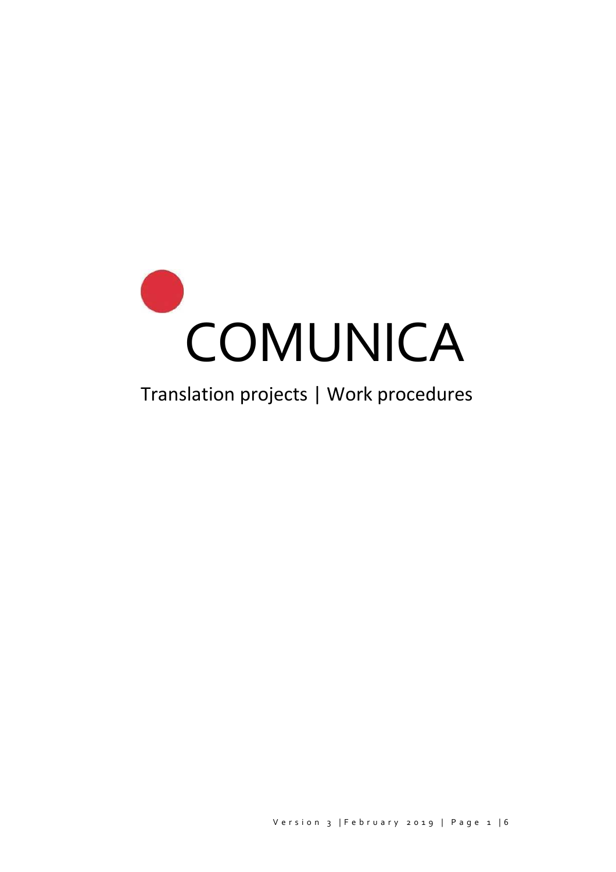

# Translation projects | Work procedures

Version 3 | February 2019 | Page 1 | 6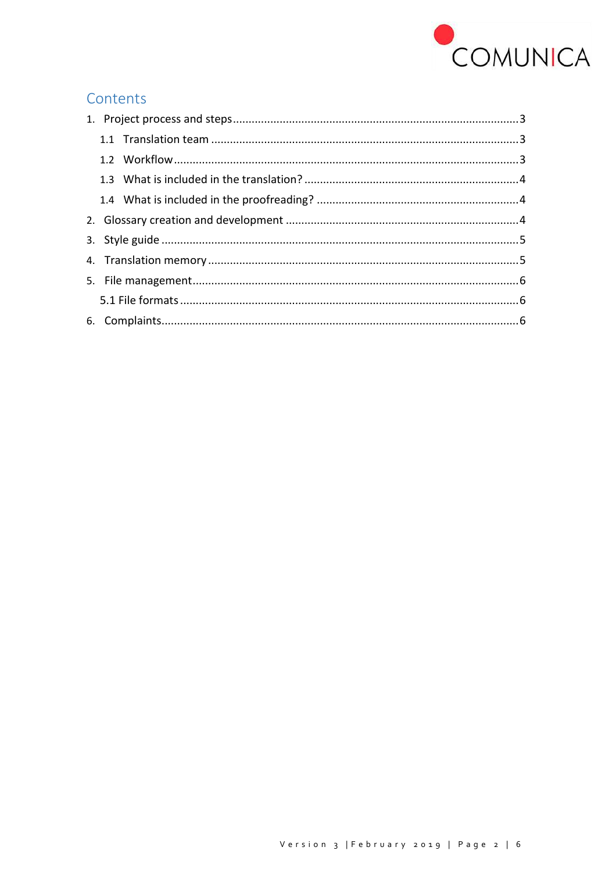

# Contents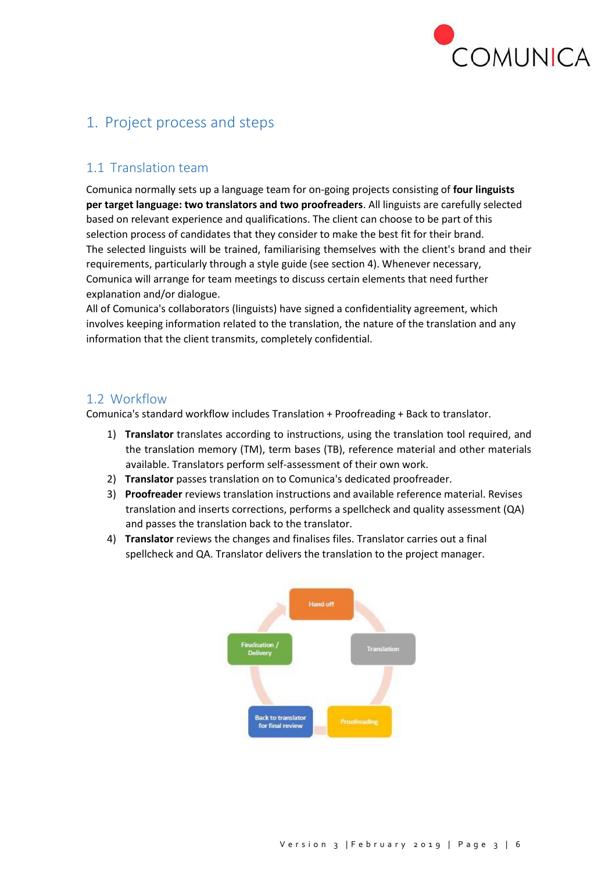

# <span id="page-2-0"></span>1. Project process and steps

#### <span id="page-2-1"></span>1.1 Translation team

Comunica normally sets up a language team for on-going projects consisting of **four linguists per target language: two translators and two proofreaders**. All linguists are carefully selected based on relevant experience and qualifications. The client can choose to be part of this selection process of candidates that they consider to make the best fit for their brand. The selected linguists will be trained, familiarising themselves with the client's brand and their requirements, particularly through a style guide (see section 4). Whenever necessary, Comunica will arrange for team meetings to discuss certain elements that need further explanation and/or dialogue.

All of Comunica's collaborators (linguists) have signed a confidentiality agreement, which involves keeping information related to the translation, the nature of the translation and any information that the client transmits, completely confidential.

#### <span id="page-2-2"></span>1.2 Workflow

Comunica's standard workflow includes Translation + Proofreading + Back to translator.

- 1) **Translator** translates according to instructions, using the translation tool required, and the translation memory (TM), term bases (TB), reference material and other materials available. Translators perform self-assessment of their own work.
- 2) **Translator** passes translation on to Comunica's dedicated proofreader.
- 3) **Proofreader** reviews translation instructions and available reference material. Revises translation and inserts corrections, performs a spellcheck and quality assessment (QA) and passes the translation back to the translator.
- 4) **Translator** reviews the changes and finalises files. Translator carries out a final spellcheck and QA. Translator delivers the translation to the project manager.

<span id="page-2-3"></span>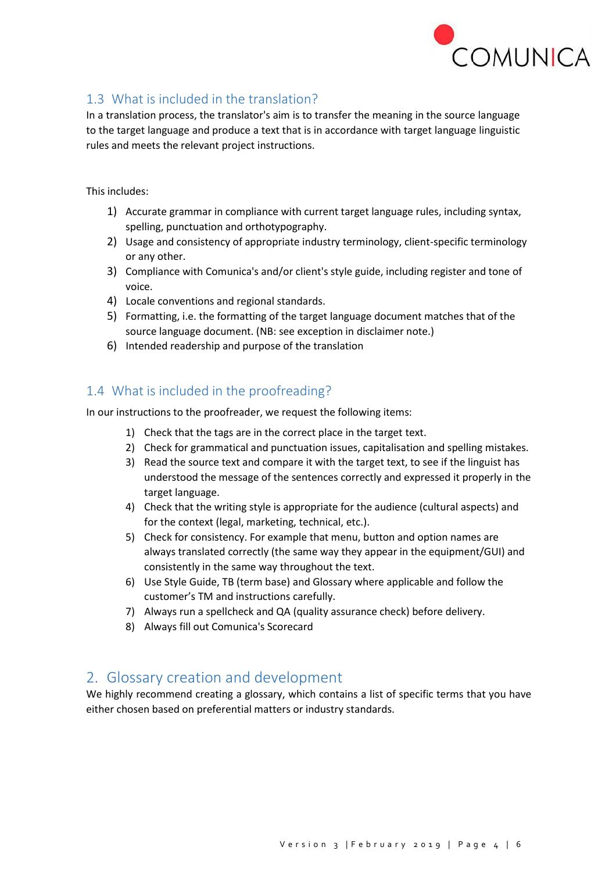

### 1.3 What is included in the translation?

In a translation process, the translator's aim is to transfer the meaning in the source language to the target language and produce a text that is in accordance with target language linguistic rules and meets the relevant project instructions.

This includes:

- 1) Accurate grammar in compliance with current target language rules, including syntax, spelling, punctuation and orthotypography.
- 2) Usage and consistency of appropriate industry terminology, client-specific terminology or any other.
- 3) Compliance with Comunica's and/or client's style guide, including register and tone of voice.
- 4) Locale conventions and regional standards.
- 5) Formatting, i.e. the formatting of the target language document matches that of the source language document. (NB: see exception in disclaimer note.)
- 6) Intended readership and purpose of the translation

#### <span id="page-3-0"></span>1.4 What is included in the proofreading?

In our instructions to the proofreader, we request the following items:

- 1) Check that the tags are in the correct place in the target text.
- 2) Check for grammatical and punctuation issues, capitalisation and spelling mistakes.
- 3) Read the source text and compare it with the target text, to see if the linguist has understood the message of the sentences correctly and expressed it properly in the target language.
- 4) Check that the writing style is appropriate for the audience (cultural aspects) and for the context (legal, marketing, technical, etc.).
- 5) Check for consistency. For example that menu, button and option names are always translated correctly (the same way they appear in the equipment/GUI) and consistently in the same way throughout the text.
- 6) Use Style Guide, TB (term base) and Glossary where applicable and follow the customer's TM and instructions carefully.
- 7) Always run a spellcheck and QA (quality assurance check) before delivery.
- 8) Always fill out Comunica's Scorecard

## <span id="page-3-1"></span>2. Glossary creation and development

We highly recommend creating a glossary, which contains a list of specific terms that you have either chosen based on preferential matters or industry standards.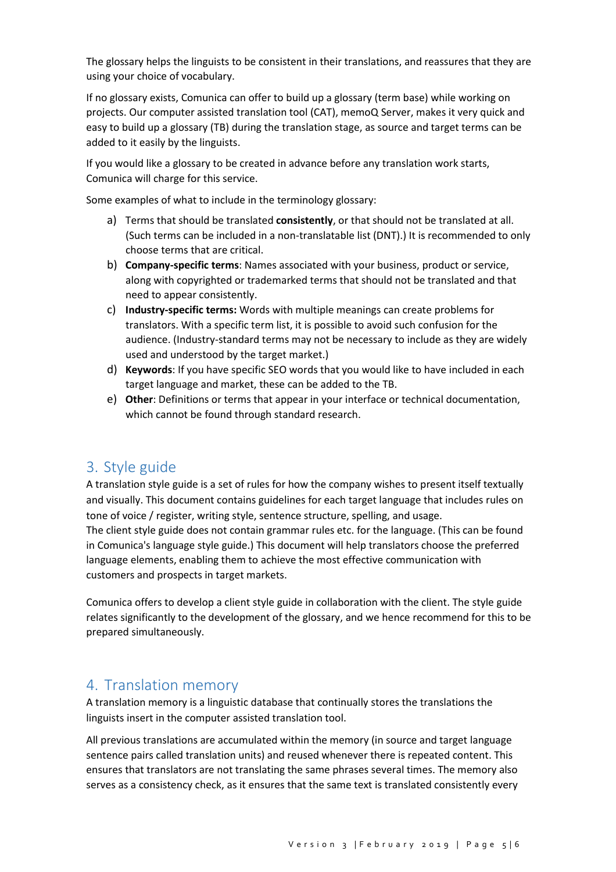The glossary helps the linguists to be consistent in their translations, and reassures that they are using your choice of vocabulary.

If no glossary exists, Comunica can offer to build up a glossary (term base) while working on projects. Our computer assisted translation tool (CAT), memoQ Server, makes it very quick and easy to build up a glossary (TB) during the translation stage, as source and target terms can be added to it easily by the linguists.

If you would like a glossary to be created in advance before any translation work starts, Comunica will charge for this service.

Some examples of what to include in the terminology glossary:

- a) Terms that should be translated **consistently**, or that should not be translated at all. (Such terms can be included in a non-translatable list (DNT).) It is recommended to only choose terms that are critical.
- b) **Company-specific terms**: Names associated with your business, product or service, along with copyrighted or trademarked terms that should not be translated and that need to appear consistently.
- c) **Industry-specific terms:** Words with multiple meanings can create problems for translators. With a specific term list, it is possible to avoid such confusion for the audience. (Industry-standard terms may not be necessary to include as they are widely used and understood by the target market.)
- d) **Keywords**: If you have specific SEO words that you would like to have included in each target language and market, these can be added to the TB.
- e) **Other**: Definitions or terms that appear in your interface or technical documentation, which cannot be found through standard research.

## <span id="page-4-0"></span>3. Style guide

A translation style guide is a set of rules for how the company wishes to present itself textually and visually. This document contains guidelines for each target language that includes rules on tone of voice / register, writing style, sentence structure, spelling, and usage. The client style guide does not contain grammar rules etc. for the language. (This can be found in Comunica's language style guide.) This document will help translators choose the preferred language elements, enabling them to achieve the most effective communication with customers and prospects in target markets.

Comunica offers to develop a client style guide in collaboration with the client. The style guide relates significantly to the development of the glossary, and we hence recommend for this to be prepared simultaneously.

#### <span id="page-4-1"></span>4. Translation memory

A translation memory is a linguistic database that continually stores the translations the linguists insert in the computer assisted translation tool.

All previous translations are accumulated within the memory (in source and target language sentence pairs called translation units) and reused whenever there is repeated content. This ensures that translators are not translating the same phrases several times. The memory also serves as a consistency check, as it ensures that the same text is translated consistently every